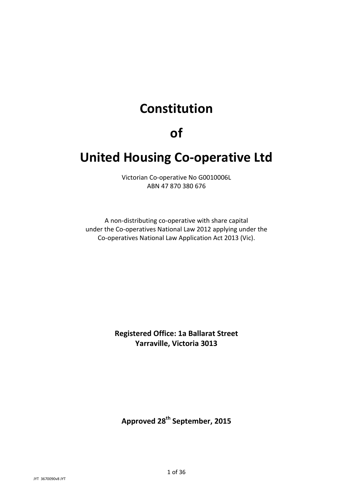# **Constitution**

# **of**

# **United Housing Co-operative Ltd**

Victorian Co-operative No G0010006L ABN 47 870 380 676

A non-distributing co-operative with share capital under the Co-operatives National Law 2012 applying under the Co-operatives National Law Application Act 2013 (Vic).

> **Registered Office: 1a Ballarat Street Yarraville, Victoria 3013**

**Approved 28th September, 2015**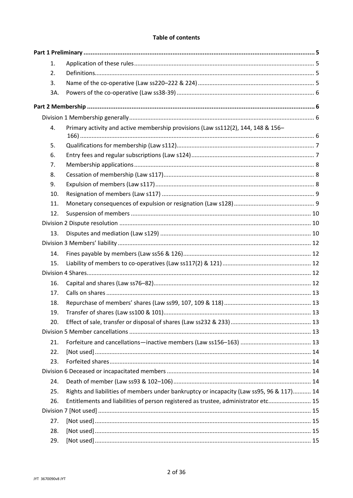#### **Table of contents**

| 1.  |                                                                                          |  |
|-----|------------------------------------------------------------------------------------------|--|
| 2.  |                                                                                          |  |
| 3.  |                                                                                          |  |
| 3A. |                                                                                          |  |
|     |                                                                                          |  |
|     |                                                                                          |  |
| 4.  | Primary activity and active membership provisions (Law ss112(2), 144, 148 & 156-         |  |
| 5.  |                                                                                          |  |
| 6.  |                                                                                          |  |
| 7.  |                                                                                          |  |
| 8.  |                                                                                          |  |
| 9.  |                                                                                          |  |
| 10. |                                                                                          |  |
| 11. |                                                                                          |  |
| 12. |                                                                                          |  |
|     |                                                                                          |  |
|     |                                                                                          |  |
| 13. |                                                                                          |  |
|     |                                                                                          |  |
| 14. |                                                                                          |  |
| 15. |                                                                                          |  |
|     |                                                                                          |  |
| 16. |                                                                                          |  |
| 17. |                                                                                          |  |
| 18. |                                                                                          |  |
| 19. |                                                                                          |  |
| 20. |                                                                                          |  |
|     |                                                                                          |  |
| 21. |                                                                                          |  |
| 22. |                                                                                          |  |
| 23. |                                                                                          |  |
|     |                                                                                          |  |
| 24. |                                                                                          |  |
| 25. | Rights and liabilities of members under bankruptcy or incapacity (Law ss95, 96 & 117) 14 |  |
| 26. | Entitlements and liabilities of person registered as trustee, administrator etc 15       |  |
|     |                                                                                          |  |
| 27. |                                                                                          |  |
| 28. |                                                                                          |  |
| 29. |                                                                                          |  |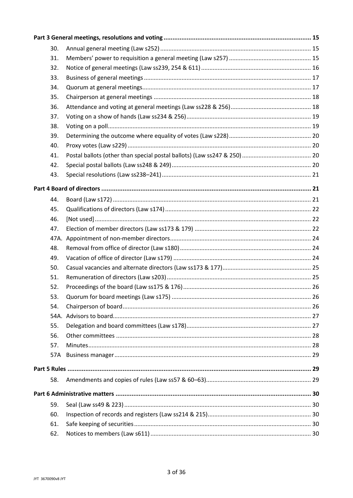| 30. |  |
|-----|--|
| 31. |  |
| 32. |  |
| 33. |  |
| 34. |  |
| 35. |  |
| 36. |  |
| 37. |  |
| 38. |  |
| 39. |  |
| 40. |  |
| 41. |  |
| 42. |  |
| 43. |  |
|     |  |
| 44. |  |
| 45. |  |
| 46. |  |
| 47. |  |
|     |  |
| 48. |  |
| 49. |  |
| 50. |  |
| 51. |  |
| 52. |  |
| 53. |  |
| 54. |  |
|     |  |
| 55. |  |
| 56. |  |
| 57. |  |
| 57A |  |
|     |  |
| 58. |  |
|     |  |
| 59. |  |
| 60. |  |
| 61. |  |
| 62. |  |
|     |  |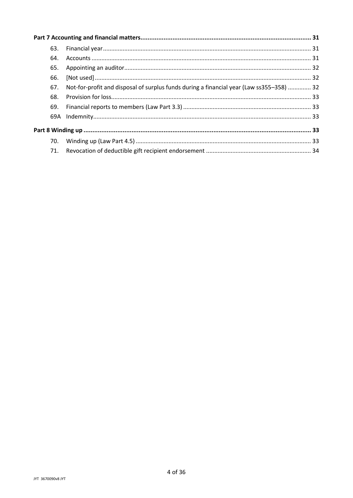| 63. |                                                                                          |  |
|-----|------------------------------------------------------------------------------------------|--|
| 64. |                                                                                          |  |
| 65. |                                                                                          |  |
| 66. |                                                                                          |  |
| 67. | Not-for-profit and disposal of surplus funds during a financial year (Law ss355–358)  32 |  |
| 68. |                                                                                          |  |
| 69. |                                                                                          |  |
|     |                                                                                          |  |
|     |                                                                                          |  |
| 70. |                                                                                          |  |
| 71. |                                                                                          |  |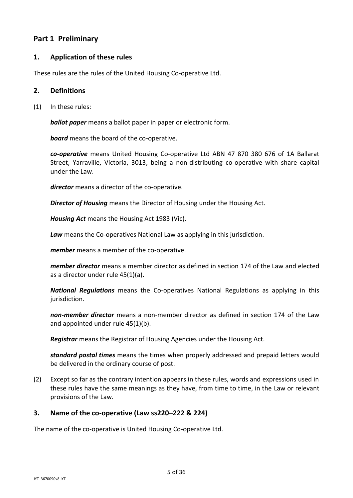# **Part 1 Preliminary**

## **1. Application of these rules**

These rules are the rules of the United Housing Co-operative Ltd.

#### **2. Definitions**

(1) In these rules:

*ballot paper* means a ballot paper in paper or electronic form.

*board* means the board of the co-operative.

*co-operative* means United Housing Co-operative Ltd ABN 47 870 380 676 of 1A Ballarat Street, Yarraville, Victoria, 3013, being a non-distributing co-operative with share capital under the Law.

*director* means a director of the co-operative.

*Director of Housing* means the Director of Housing under the Housing Act.

*Housing Act* means the Housing Act 1983 (Vic).

*Law* means the Co-operatives National Law as applying in this jurisdiction.

*member* means a member of the co-operative.

*member director* means a member director as defined in section 174 of the Law and elected as a director under rule [45\(1\)\(a\).](#page-21-0)

*National Regulations* means the Co-operatives National Regulations as applying in this jurisdiction.

*non-member director* means a non-member director as defined in section 174 of the Law and appointed under rule [45\(1\)\(b\).](#page-21-1)

*Registrar* means the Registrar of Housing Agencies under the Housing Act.

*standard postal times* means the times when properly addressed and prepaid letters would be delivered in the ordinary course of post.

(2) Except so far as the contrary intention appears in these rules, words and expressions used in these rules have the same meanings as they have, from time to time, in the Law or relevant provisions of the Law.

## **3. Name of the co-operative (Law ss220–222 & 224)**

The name of the co-operative is United Housing Co-operative Ltd.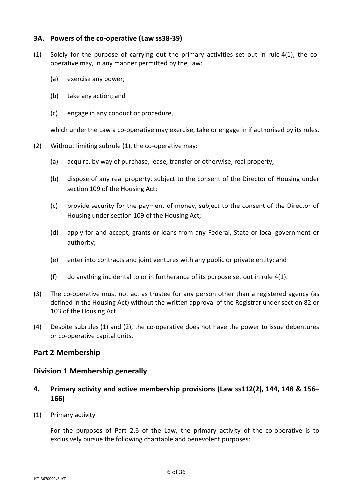#### **3A. Powers of the co-operative (Law ss38-39)**

- <span id="page-5-1"></span>(1) Solely for the purpose of carrying out the primary activities set out in rule [4\(1\),](#page-5-0) the cooperative may, in any manner permitted by the Law:
	- (a) exercise any power;
	- (b) take any action; and
	- (c) engage in any conduct or procedure,

which under the Law a co-operative may exercise, take or engage in if authorised by its rules.

- <span id="page-5-2"></span>(2) Without limiting subrule [\(1\),](#page-5-1) the co-operative may:
	- (a) acquire, by way of purchase, lease, transfer or otherwise, real property;
	- (b) dispose of any real property, subject to the consent of the Director of Housing under section 109 of the Housing Act;
	- (c) provide security for the payment of money, subject to the consent of the Director of Housing under section 109 of the Housing Act;
	- (d) apply for and accept, grants or loans from any Federal, State or local government or authority;
	- (e) enter into contracts and joint ventures with any public or private entity; and
	- (f) do anything incidental to or in furtherance of its purpose set out in rule [4\(1\).](#page-5-0)
- (3) The co-operative must not act as trustee for any person other than a registered agency (as defined in the Housing Act) without the written approval of the Registrar under section 82 or 103 of the Housing Act.
- (4) Despite subrules [\(1\)](#page-5-1) and [\(2\),](#page-5-2) the co-operative does not have the power to issue debentures or co-operative capital units.

## **Part 2 Membership**

#### **Division 1 Membership generally**

- <span id="page-5-3"></span>**4. Primary activity and active membership provisions (Law ss112(2), 144, 148 & 156– 166)**
- <span id="page-5-0"></span>(1) Primary activity

For the purposes of Part 2.6 of the Law, the primary activity of the co-operative is to exclusively pursue the following charitable and benevolent purposes: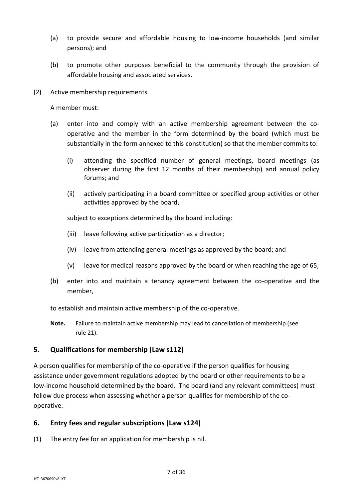- (a) to provide secure and affordable housing to low-income households (and similar persons); and
- (b) to promote other purposes beneficial to the community through the provision of affordable housing and associated services.
- (2) Active membership requirements

A member must:

- (a) enter into and comply with an active membership agreement between the cooperative and the member in the form determined by the board (which must be substantially in the form annexed to this constitution) so that the member commits to:
	- (i) attending the specified number of general meetings, board meetings (as observer during the first 12 months of their membership) and annual policy forums; and
	- (ii) actively participating in a board committee or specified group activities or other activities approved by the board,

subject to exceptions determined by the board including:

- (iii) leave following active participation as a director;
- (iv) leave from attending general meetings as approved by the board; and
- (v) leave for medical reasons approved by the board or when reaching the age of 65;
- (b) enter into and maintain a tenancy agreement between the co-operative and the member,

to establish and maintain active membership of the co-operative.

**Note.** Failure to maintain active membership may lead to cancellation of membership (see rule [21\)](#page-12-0).

## **5. Qualifications for membership (Law s112)**

A person qualifies for membership of the co-operative if the person qualifies for housing assistance under government regulations adopted by the board or other requirements to be a low-income household determined by the board. The board (and any relevant committees) must follow due process when assessing whether a person qualifies for membership of the cooperative.

## **6. Entry fees and regular subscriptions (Law s124)**

(1) The entry fee for an application for membership is nil.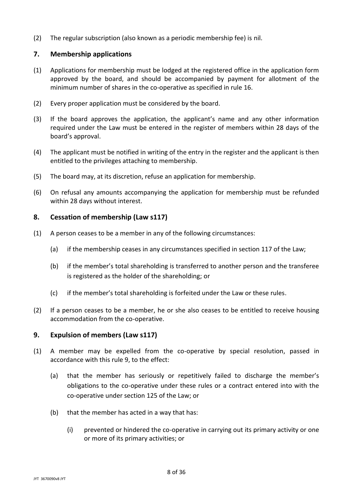(2) The regular subscription (also known as a periodic membership fee) is nil.

#### **7. Membership applications**

- (1) Applications for membership must be lodged at the registered office in the application form approved by the board, and should be accompanied by payment for allotment of the minimum number of shares in the co-operative as specified in rule [16.](#page-11-0)
- (2) Every proper application must be considered by the board.
- (3) If the board approves the application, the applicant's name and any other information required under the Law must be entered in the register of members within 28 days of the board's approval.
- (4) The applicant must be notified in writing of the entry in the register and the applicant is then entitled to the privileges attaching to membership.
- (5) The board may, at its discretion, refuse an application for membership.
- (6) On refusal any amounts accompanying the application for membership must be refunded within 28 days without interest.

#### **8. Cessation of membership (Law s117)**

- (1) A person ceases to be a member in any of the following circumstances:
	- (a) if the membership ceases in any circumstances specified in section 117 of the Law;
	- (b) if the member's total shareholding is transferred to another person and the transferee is registered as the holder of the shareholding; or
	- (c) if the member's total shareholding is forfeited under the Law or these rules.
- (2) If a person ceases to be a member, he or she also ceases to be entitled to receive housing accommodation from the co-operative.

#### **9. Expulsion of members (Law s117)**

- (1) A member may be expelled from the co-operative by special resolution, passed in accordance with this rule 9, to the effect:
	- (a) that the member has seriously or repetitively failed to discharge the member's obligations to the co-operative under these rules or a contract entered into with the co-operative under section 125 of the Law; or
	- (b) that the member has acted in a way that has:
		- (i) prevented or hindered the co-operative in carrying out its primary activity or one or more of its primary activities; or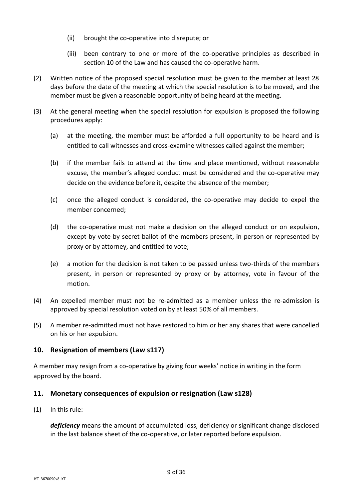- (ii) brought the co-operative into disrepute; or
- (iii) been contrary to one or more of the co-operative principles as described in section 10 of the Law and has caused the co-operative harm.
- (2) Written notice of the proposed special resolution must be given to the member at least 28 days before the date of the meeting at which the special resolution is to be moved, and the member must be given a reasonable opportunity of being heard at the meeting.
- (3) At the general meeting when the special resolution for expulsion is proposed the following procedures apply:
	- (a) at the meeting, the member must be afforded a full opportunity to be heard and is entitled to call witnesses and cross-examine witnesses called against the member;
	- (b) if the member fails to attend at the time and place mentioned, without reasonable excuse, the member's alleged conduct must be considered and the co-operative may decide on the evidence before it, despite the absence of the member;
	- (c) once the alleged conduct is considered, the co-operative may decide to expel the member concerned;
	- (d) the co-operative must not make a decision on the alleged conduct or on expulsion, except by vote by secret ballot of the members present, in person or represented by proxy or by attorney, and entitled to vote;
	- (e) a motion for the decision is not taken to be passed unless two-thirds of the members present, in person or represented by proxy or by attorney, vote in favour of the motion.
- (4) An expelled member must not be re-admitted as a member unless the re-admission is approved by special resolution voted on by at least 50% of all members.
- (5) A member re-admitted must not have restored to him or her any shares that were cancelled on his or her expulsion.

# **10. Resignation of members (Law s117)**

A member may resign from a co-operative by giving four weeks' notice in writing in the form approved by the board.

# **11. Monetary consequences of expulsion or resignation (Law s128)**

(1) In this rule:

*deficiency* means the amount of accumulated loss, deficiency or significant change disclosed in the last balance sheet of the co-operative, or later reported before expulsion.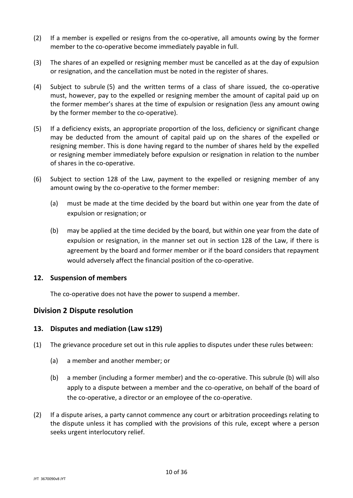- (2) If a member is expelled or resigns from the co-operative, all amounts owing by the former member to the co-operative become immediately payable in full.
- (3) The shares of an expelled or resigning member must be cancelled as at the day of expulsion or resignation, and the cancellation must be noted in the register of shares.
- (4) Subject to subrule [\(5\)](#page-9-0) and the written terms of a class of share issued, the co-operative must, however, pay to the expelled or resigning member the amount of capital paid up on the former member's shares at the time of expulsion or resignation (less any amount owing by the former member to the co-operative).
- <span id="page-9-0"></span>(5) If a deficiency exists, an appropriate proportion of the loss, deficiency or significant change may be deducted from the amount of capital paid up on the shares of the expelled or resigning member. This is done having regard to the number of shares held by the expelled or resigning member immediately before expulsion or resignation in relation to the number of shares in the co-operative.
- (6) Subject to section 128 of the Law, payment to the expelled or resigning member of any amount owing by the co-operative to the former member:
	- (a) must be made at the time decided by the board but within one year from the date of expulsion or resignation; or
	- (b) may be applied at the time decided by the board, but within one year from the date of expulsion or resignation, in the manner set out in section 128 of the Law, if there is agreement by the board and former member or if the board considers that repayment would adversely affect the financial position of the co-operative.

## **12. Suspension of members**

The co-operative does not have the power to suspend a member.

## **Division 2 Dispute resolution**

## **13. Disputes and mediation (Law s129)**

- <span id="page-9-1"></span>(1) The grievance procedure set out in this rule applies to disputes under these rules between:
	- (a) a member and another member; or
	- (b) a member (including a former member) and the co-operative. This subrule [\(b\)](#page-9-1) will also apply to a dispute between a member and the co-operative, on behalf of the board of the co-operative, a director or an employee of the co-operative.
- (2) If a dispute arises, a party cannot commence any court or arbitration proceedings relating to the dispute unless it has complied with the provisions of this rule, except where a person seeks urgent interlocutory relief.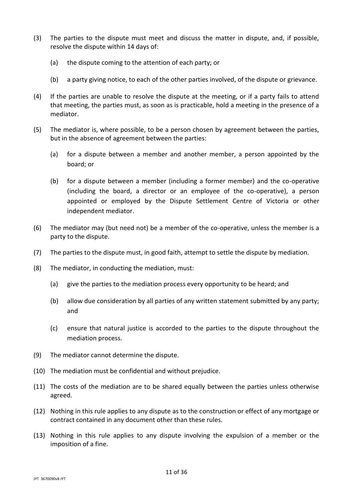- (3) The parties to the dispute must meet and discuss the matter in dispute, and, if possible, resolve the dispute within 14 days of:
	- (a) the dispute coming to the attention of each party; or
	- (b) a party giving notice, to each of the other parties involved, of the dispute or grievance.
- (4) If the parties are unable to resolve the dispute at the meeting, or if a party fails to attend that meeting, the parties must, as soon as is practicable, hold a meeting in the presence of a mediator.
- (5) The mediator is, where possible, to be a person chosen by agreement between the parties, but in the absence of agreement between the parties:
	- (a) for a dispute between a member and another member, a person appointed by the board; or
	- (b) for a dispute between a member (including a former member) and the co-operative (including the board, a director or an employee of the co-operative), a person appointed or employed by the Dispute Settlement Centre of Victoria or other independent mediator.
- (6) The mediator may (but need not) be a member of the co-operative, unless the member is a party to the dispute.
- (7) The parties to the dispute must, in good faith, attempt to settle the dispute by mediation.
- (8) The mediator, in conducting the mediation, must:
	- (a) give the parties to the mediation process every opportunity to be heard; and
	- (b) allow due consideration by all parties of any written statement submitted by any party; and
	- (c) ensure that natural justice is accorded to the parties to the dispute throughout the mediation process.
- (9) The mediator cannot determine the dispute.
- (10) The mediation must be confidential and without prejudice.
- (11) The costs of the mediation are to be shared equally between the parties unless otherwise agreed.
- (12) Nothing in this rule applies to any dispute as to the construction or effect of any mortgage or contract contained in any document other than these rules.
- (13) Nothing in this rule applies to any dispute involving the expulsion of a member or the imposition of a fine.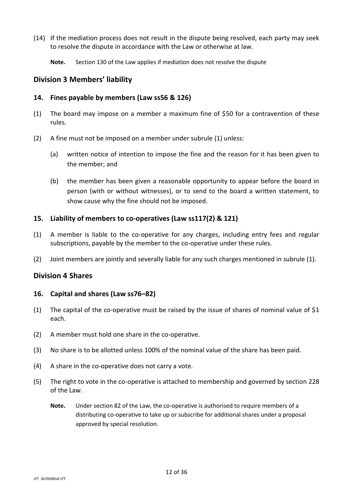- (14) If the mediation process does not result in the dispute being resolved, each party may seek to resolve the dispute in accordance with the Law or otherwise at law.
	- **Note.** Section 130 of the Law applies if mediation does not resolve the dispute

#### **Division 3 Members' liability**

#### **14. Fines payable by members (Law ss56 & 126)**

- <span id="page-11-1"></span>(1) The board may impose on a member a maximum fine of \$50 for a contravention of these rules.
- (2) A fine must not be imposed on a member under subrule [\(1\)](#page-11-1) unless:
	- (a) written notice of intention to impose the fine and the reason for it has been given to the member; and
	- (b) the member has been given a reasonable opportunity to appear before the board in person (with or without witnesses), or to send to the board a written statement, to show cause why the fine should not be imposed.

#### **15. Liability of members to co-operatives (Law ss117(2) & 121)**

- <span id="page-11-2"></span>(1) A member is liable to the co-operative for any charges, including entry fees and regular subscriptions, payable by the member to the co-operative under these rules.
- (2) Joint members are jointly and severally liable for any such charges mentioned in subrule [\(1\).](#page-11-2)

#### **Division 4 Shares**

#### <span id="page-11-0"></span>**16. Capital and shares (Law ss76–82)**

- (1) The capital of the co-operative must be raised by the issue of shares of nominal value of \$1 each.
- <span id="page-11-3"></span>(2) A member must hold one share in the co-operative.
- (3) No share is to be allotted unless 100% of the nominal value of the share has been paid.
- (4) A share in the co-operative does not carry a vote.
- (5) The right to vote in the co-operative is attached to membership and governed by section 228 of the Law.
	- **Note.** Under section 82 of the Law, the co-operative is authorised to require members of a distributing co-operative to take up or subscribe for additional shares under a proposal approved by special resolution.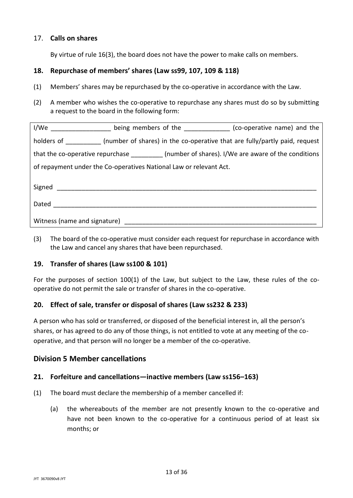## 17. **Calls on shares**

By virtue of rule [16\(3\),](#page-11-3) the board does not have the power to make calls on members.

# **18. Repurchase of members' shares (Law ss99, 107, 109 & 118)**

- (1) Members' shares may be repurchased by the co-operative in accordance with the Law.
- (2) A member who wishes the co-operative to repurchase any shares must do so by submitting a request to the board in the following form:

|                                                                                                                |  | I/We ____________________ being members of the _______________ (co-operative name) and the       |
|----------------------------------------------------------------------------------------------------------------|--|--------------------------------------------------------------------------------------------------|
|                                                                                                                |  | holders of (number of shares) in the co-operative that are fully/partly paid, request            |
|                                                                                                                |  | that the co-operative repurchase ___________(number of shares). I/We are aware of the conditions |
| of repayment under the Co-operatives National Law or relevant Act.                                             |  |                                                                                                  |
|                                                                                                                |  |                                                                                                  |
|                                                                                                                |  |                                                                                                  |
| Dated _________________                                                                                        |  |                                                                                                  |
|                                                                                                                |  |                                                                                                  |
| Witness (name and signature) and the state of the state of the state of the state of the state of the state of |  |                                                                                                  |

(3) The board of the co-operative must consider each request for repurchase in accordance with the Law and cancel any shares that have been repurchased.

## **19. Transfer of shares (Law ss100 & 101)**

For the purposes of section  $100(1)$  of the Law, but subject to the Law, these rules of the cooperative do not permit the sale or transfer of shares in the co-operative.

## **20. Effect of sale, transfer or disposal of shares (Law ss232 & 233)**

A person who has sold or transferred, or disposed of the beneficial interest in, all the person's shares, or has agreed to do any of those things, is not entitled to vote at any meeting of the cooperative, and that person will no longer be a member of the co-operative.

## **Division 5 Member cancellations**

## <span id="page-12-0"></span>**21. Forfeiture and cancellations—inactive members (Law ss156–163)**

- (1) The board must declare the membership of a member cancelled if:
	- (a) the whereabouts of the member are not presently known to the co-operative and have not been known to the co-operative for a continuous period of at least six months; or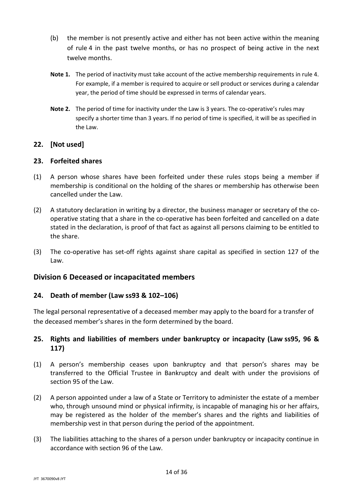- (b) the member is not presently active and either has not been active within the meaning of rule [4](#page-5-3) in the past twelve months, or has no prospect of being active in the next twelve months.
- **Note 1.** The period of inactivity must take account of the active membership requirements in rule [4.](#page-5-3) For example, if a member is required to acquire or sell product or services during a calendar year, the period of time should be expressed in terms of calendar years.
- **Note 2.** The period of time for inactivity under the Law is 3 years. The co-operative's rules may specify a shorter time than 3 years. If no period of time is specified, it will be as specified in the Law.

# **22. [Not used]**

# **23. Forfeited shares**

- (1) A person whose shares have been forfeited under these rules stops being a member if membership is conditional on the holding of the shares or membership has otherwise been cancelled under the Law.
- (2) A statutory declaration in writing by a director, the business manager or secretary of the cooperative stating that a share in the co-operative has been forfeited and cancelled on a date stated in the declaration, is proof of that fact as against all persons claiming to be entitled to the share.
- (3) The co-operative has set-off rights against share capital as specified in section 127 of the Law.

# **Division 6 Deceased or incapacitated members**

# **24. Death of member (Law ss93 & 102–106)**

The legal personal representative of a deceased member may apply to the board for a transfer of the deceased member's shares in the form determined by the board.

# **25. Rights and liabilities of members under bankruptcy or incapacity (Law ss95, 96 & 117)**

- (1) A person's membership ceases upon bankruptcy and that person's shares may be transferred to the Official Trustee in Bankruptcy and dealt with under the provisions of section 95 of the Law.
- <span id="page-13-0"></span>(2) A person appointed under a law of a State or Territory to administer the estate of a member who, through unsound mind or physical infirmity, is incapable of managing his or her affairs, may be registered as the holder of the member's shares and the rights and liabilities of membership vest in that person during the period of the appointment.
- (3) The liabilities attaching to the shares of a person under bankruptcy or incapacity continue in accordance with section 96 of the Law.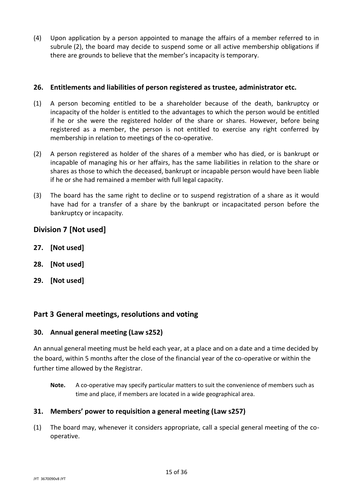(4) Upon application by a person appointed to manage the affairs of a member referred to in subrule [\(2\),](#page-13-0) the board may decide to suspend some or all active membership obligations if there are grounds to believe that the member's incapacity is temporary.

## **26. Entitlements and liabilities of person registered as trustee, administrator etc.**

- (1) A person becoming entitled to be a shareholder because of the death, bankruptcy or incapacity of the holder is entitled to the advantages to which the person would be entitled if he or she were the registered holder of the share or shares. However, before being registered as a member, the person is not entitled to exercise any right conferred by membership in relation to meetings of the co-operative.
- (2) A person registered as holder of the shares of a member who has died, or is bankrupt or incapable of managing his or her affairs, has the same liabilities in relation to the share or shares as those to which the deceased, bankrupt or incapable person would have been liable if he or she had remained a member with full legal capacity.
- (3) The board has the same right to decline or to suspend registration of a share as it would have had for a transfer of a share by the bankrupt or incapacitated person before the bankruptcy or incapacity.

# **Division 7 [Not used]**

- **27. [Not used]**
- **28. [Not used]**
- **29. [Not used]**

# **Part 3 General meetings, resolutions and voting**

## **30. Annual general meeting (Law s252)**

An annual general meeting must be held each year, at a place and on a date and a time decided by the board, within 5 months after the close of the financial year of the co-operative or within the further time allowed by the Registrar.

**Note.** A co-operative may specify particular matters to suit the convenience of members such as time and place, if members are located in a wide geographical area.

# **31. Members' power to requisition a general meeting (Law s257)**

(1) The board may, whenever it considers appropriate, call a special general meeting of the cooperative.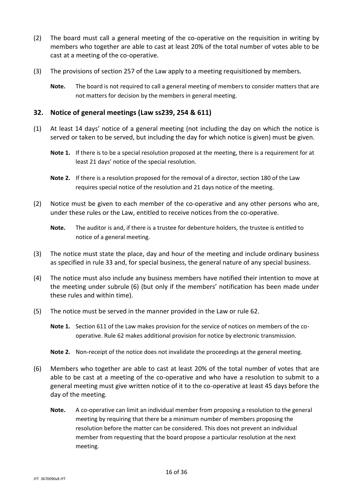- (2) The board must call a general meeting of the co-operative on the requisition in writing by members who together are able to cast at least 20% of the total number of votes able to be cast at a meeting of the co-operative.
- (3) The provisions of section 257 of the Law apply to a meeting requisitioned by members.
	- **Note.** The board is not required to call a general meeting of members to consider matters that are not matters for decision by the members in general meeting.

#### **32. Notice of general meetings (Law ss239, 254 & 611)**

- (1) At least 14 days' notice of a general meeting (not including the day on which the notice is served or taken to be served, but including the day for which notice is given) must be given.
	- **Note 1.** If there is to be a special resolution proposed at the meeting, there is a requirement for at least 21 days' notice of the special resolution.
	- **Note 2.** If there is a resolution proposed for the removal of a director, section 180 of the Law requires special notice of the resolution and 21 days notice of the meeting.
- (2) Notice must be given to each member of the co-operative and any other persons who are, under these rules or the Law, entitled to receive notices from the co-operative.
	- **Note.** The auditor is and, if there is a trustee for debenture holders, the trustee is entitled to notice of a general meeting.
- (3) The notice must state the place, day and hour of the meeting and include ordinary business as specified in rule [33](#page-16-0) and, for special business, the general nature of any special business.
- (4) The notice must also include any business members have notified their intention to move at the meeting under subrule [\(6\)](#page-15-0) (but only if the members' notification has been made under these rules and within time).
- (5) The notice must be served in the manner provided in the Law or rule [62.](#page-29-0)
	- **Note 1.** Section 611 of the Law makes provision for the service of notices on members of the cooperative. Rule [62](#page-29-0) makes additional provision for notice by electronic transmission.
	- **Note 2.** Non-receipt of the notice does not invalidate the proceedings at the general meeting.
- <span id="page-15-0"></span>(6) Members who together are able to cast at least 20% of the total number of votes that are able to be cast at a meeting of the co-operative and who have a resolution to submit to a general meeting must give written notice of it to the co-operative at least 45 days before the day of the meeting.
	- **Note.** A co-operative can limit an individual member from proposing a resolution to the general meeting by requiring that there be a minimum number of members proposing the resolution before the matter can be considered. This does not prevent an individual member from requesting that the board propose a particular resolution at the next meeting.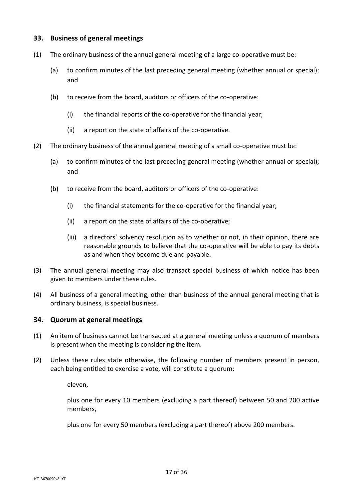#### <span id="page-16-0"></span>**33. Business of general meetings**

- (1) The ordinary business of the annual general meeting of a large co-operative must be:
	- (a) to confirm minutes of the last preceding general meeting (whether annual or special); and
	- (b) to receive from the board, auditors or officers of the co-operative:
		- (i) the financial reports of the co-operative for the financial year;
		- (ii) a report on the state of affairs of the co-operative.
- (2) The ordinary business of the annual general meeting of a small co-operative must be:
	- (a) to confirm minutes of the last preceding general meeting (whether annual or special); and
	- (b) to receive from the board, auditors or officers of the co-operative:
		- (i) the financial statements for the co-operative for the financial year;
		- (ii) a report on the state of affairs of the co-operative;
		- (iii) a directors' solvency resolution as to whether or not, in their opinion, there are reasonable grounds to believe that the co-operative will be able to pay its debts as and when they become due and payable.
- (3) The annual general meeting may also transact special business of which notice has been given to members under these rules.
- (4) All business of a general meeting, other than business of the annual general meeting that is ordinary business, is special business.

#### **34. Quorum at general meetings**

- (1) An item of business cannot be transacted at a general meeting unless a quorum of members is present when the meeting is considering the item.
- (2) Unless these rules state otherwise, the following number of members present in person, each being entitled to exercise a vote, will constitute a quorum:

eleven,

plus one for every 10 members (excluding a part thereof) between 50 and 200 active members,

plus one for every 50 members (excluding a part thereof) above 200 members.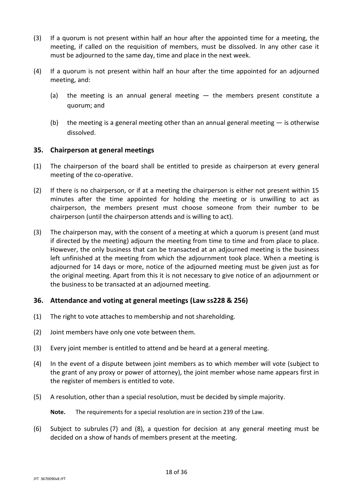- (3) If a quorum is not present within half an hour after the appointed time for a meeting, the meeting, if called on the requisition of members, must be dissolved. In any other case it must be adjourned to the same day, time and place in the next week.
- (4) If a quorum is not present within half an hour after the time appointed for an adjourned meeting, and:
	- (a) the meeting is an annual general meeting the members present constitute a quorum; and
	- (b) the meeting is a general meeting other than an annual general meeting  $-$  is otherwise dissolved.

## **35. Chairperson at general meetings**

- (1) The chairperson of the board shall be entitled to preside as chairperson at every general meeting of the co-operative.
- (2) If there is no chairperson, or if at a meeting the chairperson is either not present within 15 minutes after the time appointed for holding the meeting or is unwilling to act as chairperson, the members present must choose someone from their number to be chairperson (until the chairperson attends and is willing to act).
- (3) The chairperson may, with the consent of a meeting at which a quorum is present (and must if directed by the meeting) adjourn the meeting from time to time and from place to place. However, the only business that can be transacted at an adjourned meeting is the business left unfinished at the meeting from which the adjournment took place. When a meeting is adjourned for 14 days or more, notice of the adjourned meeting must be given just as for the original meeting. Apart from this it is not necessary to give notice of an adjournment or the business to be transacted at an adjourned meeting.

## **36. Attendance and voting at general meetings (Law ss228 & 256)**

- (1) The right to vote attaches to membership and not shareholding.
- (2) Joint members have only one vote between them.
- (3) Every joint member is entitled to attend and be heard at a general meeting.
- (4) In the event of a dispute between joint members as to which member will vote (subject to the grant of any proxy or power of attorney), the joint member whose name appears first in the register of members is entitled to vote.
- (5) A resolution, other than a special resolution, must be decided by simple majority.

**Note.** The requirements for a special resolution are in section 239 of the Law.

(6) Subject to subrules [\(7\)](#page-18-0) and [\(8\),](#page-18-1) a question for decision at any general meeting must be decided on a show of hands of members present at the meeting.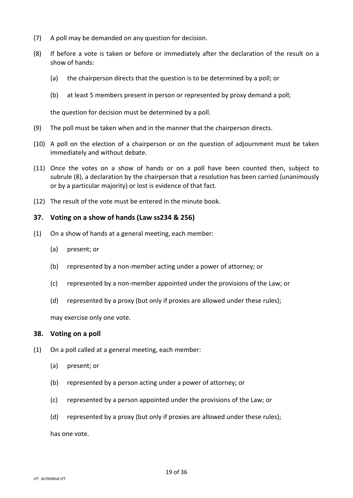- <span id="page-18-0"></span>(7) A poll may be demanded on any question for decision.
- <span id="page-18-1"></span>(8) If before a vote is taken or before or immediately after the declaration of the result on a show of hands:
	- (a) the chairperson directs that the question is to be determined by a poll; or
	- (b) at least 5 members present in person or represented by proxy demand a poll;

the question for decision must be determined by a poll.

- (9) The poll must be taken when and in the manner that the chairperson directs.
- (10) A poll on the election of a chairperson or on the question of adjournment must be taken immediately and without debate.
- (11) Once the votes on a show of hands or on a poll have been counted then, subject to subrule [\(8\),](#page-18-1) a declaration by the chairperson that a resolution has been carried (unanimously or by a particular majority) or lost is evidence of that fact.
- (12) The result of the vote must be entered in the minute book.

#### **37. Voting on a show of hands (Law ss234 & 256)**

- (1) On a show of hands at a general meeting, each member:
	- (a) present; or
	- (b) represented by a non-member acting under a power of attorney; or
	- (c) represented by a non-member appointed under the provisions of the Law; or
	- (d) represented by a proxy (but only if proxies are allowed under these rules);

may exercise only one vote.

#### **38. Voting on a poll**

- (1) On a poll called at a general meeting, each member:
	- (a) present; or
	- (b) represented by a person acting under a power of attorney; or
	- (c) represented by a person appointed under the provisions of the Law; or
	- (d) represented by a proxy (but only if proxies are allowed under these rules);

has one vote.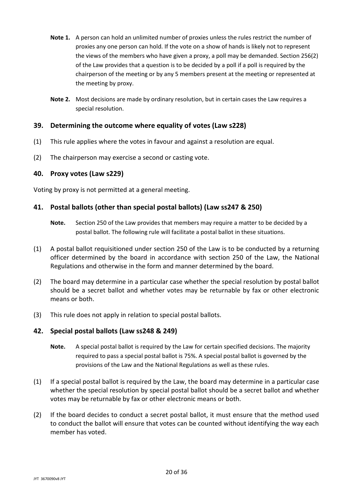- **Note 1.** A person can hold an unlimited number of proxies unless the rules restrict the number of proxies any one person can hold. If the vote on a show of hands is likely not to represent the views of the members who have given a proxy, a poll may be demanded. Section 256(2) of the Law provides that a question is to be decided by a poll if a poll is required by the chairperson of the meeting or by any 5 members present at the meeting or represented at the meeting by proxy.
- **Note 2.** Most decisions are made by ordinary resolution, but in certain cases the Law requires a special resolution.

#### **39. Determining the outcome where equality of votes (Law s228)**

- (1) This rule applies where the votes in favour and against a resolution are equal.
- (2) The chairperson may exercise a second or casting vote.

#### **40. Proxy votes (Law s229)**

Voting by proxy is not permitted at a general meeting.

#### **41. Postal ballots (other than special postal ballots) (Law ss247 & 250)**

- **Note.** Section 250 of the Law provides that members may require a matter to be decided by a postal ballot. The following rule will facilitate a postal ballot in these situations.
- (1) A postal ballot requisitioned under section 250 of the Law is to be conducted by a returning officer determined by the board in accordance with section 250 of the Law, the National Regulations and otherwise in the form and manner determined by the board.
- (2) The board may determine in a particular case whether the special resolution by postal ballot should be a secret ballot and whether votes may be returnable by fax or other electronic means or both.
- (3) This rule does not apply in relation to special postal ballots.

#### **42. Special postal ballots (Law ss248 & 249)**

- **Note.** A special postal ballot is required by the Law for certain specified decisions. The majority required to pass a special postal ballot is 75%. A special postal ballot is governed by the provisions of the Law and the National Regulations as well as these rules.
- (1) If a special postal ballot is required by the Law, the board may determine in a particular case whether the special resolution by special postal ballot should be a secret ballot and whether votes may be returnable by fax or other electronic means or both.
- (2) If the board decides to conduct a secret postal ballot, it must ensure that the method used to conduct the ballot will ensure that votes can be counted without identifying the way each member has voted.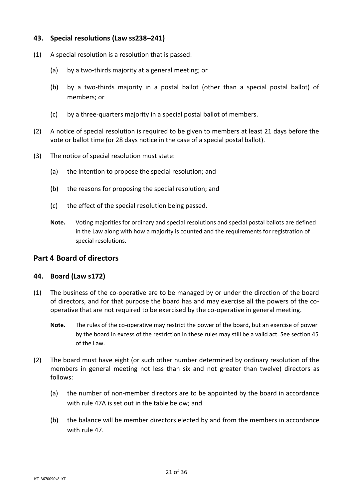## **43. Special resolutions (Law ss238–241)**

- (1) A special resolution is a resolution that is passed:
	- (a) by a two-thirds majority at a general meeting; or
	- (b) by a two-thirds majority in a postal ballot (other than a special postal ballot) of members; or
	- (c) by a three-quarters majority in a special postal ballot of members.
- (2) A notice of special resolution is required to be given to members at least 21 days before the vote or ballot time (or 28 days notice in the case of a special postal ballot).
- (3) The notice of special resolution must state:
	- (a) the intention to propose the special resolution; and
	- (b) the reasons for proposing the special resolution; and
	- (c) the effect of the special resolution being passed.
	- **Note.** Voting majorities for ordinary and special resolutions and special postal ballots are defined in the Law along with how a majority is counted and the requirements for registration of special resolutions.

#### **Part 4 Board of directors**

#### **44. Board (Law s172)**

- (1) The business of the co-operative are to be managed by or under the direction of the board of directors, and for that purpose the board has and may exercise all the powers of the cooperative that are not required to be exercised by the co-operative in general meeting.
	- **Note.** The rules of the co-operative may restrict the power of the board, but an exercise of power by the board in excess of the restriction in these rules may still be a valid act. See section 45 of the Law.
- <span id="page-20-2"></span><span id="page-20-1"></span><span id="page-20-0"></span>(2) The board must have eight (or such other number determined by ordinary resolution of the members in general meeting not less than six and not greater than twelve) directors as follows:
	- (a) the number of non-member directors are to be appointed by the board in accordance with rule 47A is set out in the table below; and
	- (b) the balance will be member directors elected by and from the members in accordance with rule [47.](#page-21-2)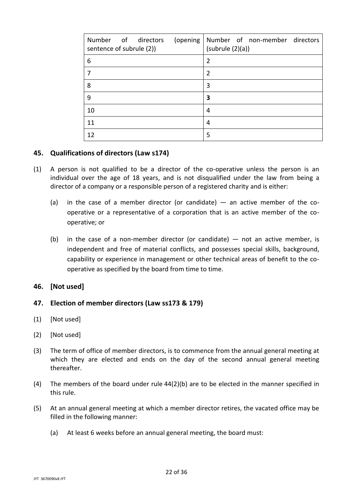| Number of directors<br>(opening<br>sentence of subrule (2)) | Number of non-member directors<br>(subrule(2)(a)) |
|-------------------------------------------------------------|---------------------------------------------------|
| 6                                                           | $\overline{2}$                                    |
|                                                             | $\overline{2}$                                    |
| 8                                                           | 3                                                 |
| 9                                                           | 3                                                 |
| 10                                                          | 4                                                 |
| 11                                                          | 4                                                 |
| 12                                                          | 5                                                 |

#### **45. Qualifications of directors (Law s174)**

- <span id="page-21-0"></span>(1) A person is not qualified to be a director of the co-operative unless the person is an individual over the age of 18 years, and is not disqualified under the law from being a director of a company or a responsible person of a registered charity and is either:
	- (a) in the case of a member director (or candidate)  $-$  an active member of the cooperative or a representative of a corporation that is an active member of the cooperative; or
	- (b) in the case of a non-member director (or candidate)  $-$  not an active member, is independent and free of material conflicts, and possesses special skills, background, capability or experience in management or other technical areas of benefit to the cooperative as specified by the board from time to time.
- <span id="page-21-1"></span>**46. [Not used]**

## <span id="page-21-2"></span>**47. Election of member directors (Law ss173 & 179)**

- (1) [Not used]
- (2) [Not used]
- (3) The term of office of member directors, is to commence from the annual general meeting at which they are elected and ends on the day of the second annual general meeting thereafter.
- (4) The members of the board under rule [44\(2\)\(b\)](#page-20-0) are to be elected in the manner specified in this rule.
- (5) At an annual general meeting at which a member director retires, the vacated office may be filled in the following manner:
	- (a) At least 6 weeks before an annual general meeting, the board must: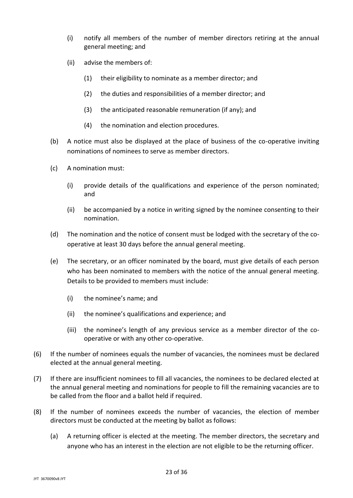- (i) notify all members of the number of member directors retiring at the annual general meeting; and
- (ii) advise the members of:
	- (1) their eligibility to nominate as a member director; and
	- (2) the duties and responsibilities of a member director; and
	- (3) the anticipated reasonable remuneration (if any); and
	- (4) the nomination and election procedures.
- (b) A notice must also be displayed at the place of business of the co-operative inviting nominations of nominees to serve as member directors.
- (c) A nomination must:
	- (i) provide details of the qualifications and experience of the person nominated; and
	- (ii) be accompanied by a notice in writing signed by the nominee consenting to their nomination.
- (d) The nomination and the notice of consent must be lodged with the secretary of the cooperative at least 30 days before the annual general meeting.
- (e) The secretary, or an officer nominated by the board, must give details of each person who has been nominated to members with the notice of the annual general meeting. Details to be provided to members must include:
	- (i) the nominee's name; and
	- (ii) the nominee's qualifications and experience; and
	- (iii) the nominee's length of any previous service as a member director of the cooperative or with any other co-operative.
- (6) If the number of nominees equals the number of vacancies, the nominees must be declared elected at the annual general meeting.
- (7) If there are insufficient nominees to fill all vacancies, the nominees to be declared elected at the annual general meeting and nominations for people to fill the remaining vacancies are to be called from the floor and a ballot held if required.
- (8) If the number of nominees exceeds the number of vacancies, the election of member directors must be conducted at the meeting by ballot as follows:
	- (a) A returning officer is elected at the meeting. The member directors, the secretary and anyone who has an interest in the election are not eligible to be the returning officer.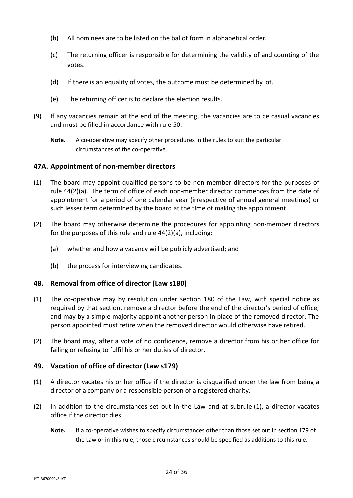- (b) All nominees are to be listed on the ballot form in alphabetical order.
- (c) The returning officer is responsible for determining the validity of and counting of the votes.
- (d) If there is an equality of votes, the outcome must be determined by lot.
- (e) The returning officer is to declare the election results.
- (9) If any vacancies remain at the end of the meeting, the vacancies are to be casual vacancies and must be filled in accordance with rule [50.](#page-24-0)
	- **Note.** A co-operative may specify other procedures in the rules to suit the particular circumstances of the co-operative.

#### **47A. Appointment of non-member directors**

- (1) The board may appoint qualified persons to be non-member directors for the purposes of rule [44\(2\)\(a\).](#page-20-1) The term of office of each non-member director commences from the date of appointment for a period of one calendar year (irrespective of annual general meetings) or such lesser term determined by the board at the time of making the appointment.
- (2) The board may otherwise determine the procedures for appointing non-member directors for the purposes of this rule and rule [44\(2\)\(a\),](#page-20-1) including:
	- (a) whether and how a vacancy will be publicly advertised; and
	- (b) the process for interviewing candidates.

## **48. Removal from office of director (Law s180)**

- (1) The co-operative may by resolution under section 180 of the Law, with special notice as required by that section, remove a director before the end of the director's period of office, and may by a simple majority appoint another person in place of the removed director. The person appointed must retire when the removed director would otherwise have retired.
- (2) The board may, after a vote of no confidence, remove a director from his or her office for failing or refusing to fulfil his or her duties of director.

## **49. Vacation of office of director (Law s179)**

- <span id="page-23-0"></span>(1) A director vacates his or her office if the director is disqualified under the law from being a director of a company or a responsible person of a registered charity.
- (2) In addition to the circumstances set out in the Law and at subrule [\(1\),](#page-23-0) a director vacates office if the director dies.
	- **Note.** If a co-operative wishes to specify circumstances other than those set out in section 179 of the Law or in this rule, those circumstances should be specified as additions to this rule.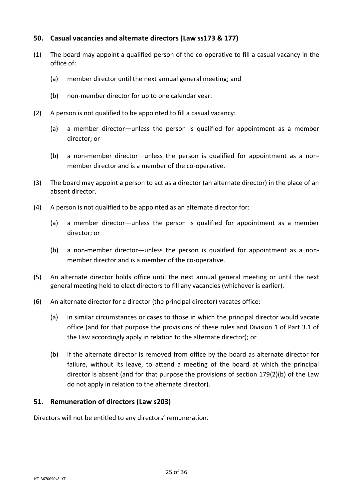# <span id="page-24-0"></span>**50. Casual vacancies and alternate directors (Law ss173 & 177)**

- (1) The board may appoint a qualified person of the co-operative to fill a casual vacancy in the office of:
	- (a) member director until the next annual general meeting; and
	- (b) non-member director for up to one calendar year.
- (2) A person is not qualified to be appointed to fill a casual vacancy:
	- (a) a member director—unless the person is qualified for appointment as a member director; or
	- (b) a non-member director—unless the person is qualified for appointment as a nonmember director and is a member of the co-operative.
- (3) The board may appoint a person to act as a director (an alternate director) in the place of an absent director.
- (4) A person is not qualified to be appointed as an alternate director for:
	- (a) a member director—unless the person is qualified for appointment as a member director; or
	- (b) a non-member director—unless the person is qualified for appointment as a nonmember director and is a member of the co-operative.
- (5) An alternate director holds office until the next annual general meeting or until the next general meeting held to elect directors to fill any vacancies (whichever is earlier).
- (6) An alternate director for a director (the principal director) vacates office:
	- (a) in similar circumstances or cases to those in which the principal director would vacate office (and for that purpose the provisions of these rules and Division 1 of Part 3.1 of the Law accordingly apply in relation to the alternate director); or
	- (b) if the alternate director is removed from office by the board as alternate director for failure, without its leave, to attend a meeting of the board at which the principal director is absent (and for that purpose the provisions of section 179(2)(b) of the Law do not apply in relation to the alternate director).

## **51. Remuneration of directors (Law s203)**

Directors will not be entitled to any directors' remuneration.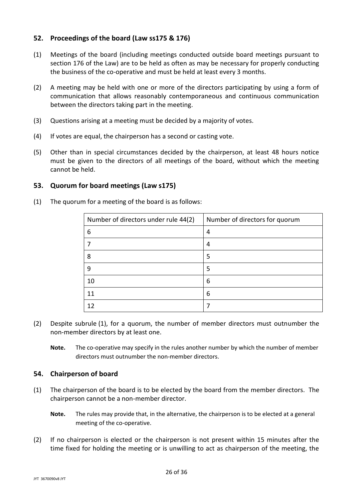# **52. Proceedings of the board (Law ss175 & 176)**

- (1) Meetings of the board (including meetings conducted outside board meetings pursuant to section 176 of the Law) are to be held as often as may be necessary for properly conducting the business of the co-operative and must be held at least every 3 months.
- (2) A meeting may be held with one or more of the directors participating by using a form of communication that allows reasonably contemporaneous and continuous communication between the directors taking part in the meeting.
- (3) Questions arising at a meeting must be decided by a majority of votes.
- (4) If votes are equal, the chairperson has a second or casting vote.
- (5) Other than in special circumstances decided by the chairperson, at least 48 hours notice must be given to the directors of all meetings of the board, without which the meeting cannot be held.

#### <span id="page-25-0"></span>**53. Quorum for board meetings (Law s175)**

(1) The quorum for a meeting of the board is as follows:

| Number of directors under rule 44(2) | Number of directors for quorum |
|--------------------------------------|--------------------------------|
| 6                                    | 4                              |
|                                      | 4                              |
| 8                                    | 5                              |
| 9                                    | 5                              |
| 10                                   | 6                              |
| 11                                   | 6                              |
| 12                                   |                                |

- (2) Despite subrule [\(1\),](#page-25-0) for a quorum, the number of member directors must outnumber the non-member directors by at least one.
	- **Note.** The co-operative may specify in the rules another number by which the number of member directors must outnumber the non-member directors.

#### **54. Chairperson of board**

- (1) The chairperson of the board is to be elected by the board from the member directors. The chairperson cannot be a non-member director.
	- **Note.** The rules may provide that, in the alternative, the chairperson is to be elected at a general meeting of the co-operative.
- (2) If no chairperson is elected or the chairperson is not present within 15 minutes after the time fixed for holding the meeting or is unwilling to act as chairperson of the meeting, the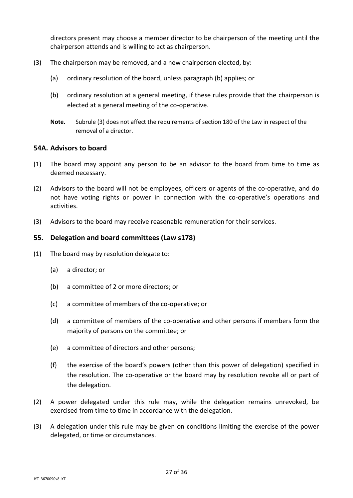directors present may choose a member director to be chairperson of the meeting until the chairperson attends and is willing to act as chairperson.

- (3) The chairperson may be removed, and a new chairperson elected, by:
	- (a) ordinary resolution of the board, unless paragraph (b) applies; or
	- (b) ordinary resolution at a general meeting, if these rules provide that the chairperson is elected at a general meeting of the co-operative.
	- **Note.** Subrule (3) does not affect the requirements of section 180 of the Law in respect of the removal of a director.

#### **54A. Advisors to board**

- (1) The board may appoint any person to be an advisor to the board from time to time as deemed necessary.
- (2) Advisors to the board will not be employees, officers or agents of the co-operative, and do not have voting rights or power in connection with the co-operative's operations and activities.
- (3) Advisors to the board may receive reasonable remuneration for their services.

## **55. Delegation and board committees (Law s178)**

- (1) The board may by resolution delegate to:
	- (a) a director; or
	- (b) a committee of 2 or more directors; or
	- (c) a committee of members of the co-operative; or
	- (d) a committee of members of the co-operative and other persons if members form the majority of persons on the committee; or
	- (e) a committee of directors and other persons;
	- (f) the exercise of the board's powers (other than this power of delegation) specified in the resolution. The co-operative or the board may by resolution revoke all or part of the delegation.
- (2) A power delegated under this rule may, while the delegation remains unrevoked, be exercised from time to time in accordance with the delegation.
- <span id="page-26-0"></span>(3) A delegation under this rule may be given on conditions limiting the exercise of the power delegated, or time or circumstances.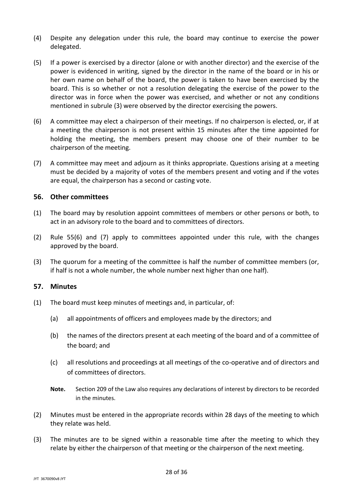- (4) Despite any delegation under this rule, the board may continue to exercise the power delegated.
- (5) If a power is exercised by a director (alone or with another director) and the exercise of the power is evidenced in writing, signed by the director in the name of the board or in his or her own name on behalf of the board, the power is taken to have been exercised by the board. This is so whether or not a resolution delegating the exercise of the power to the director was in force when the power was exercised, and whether or not any conditions mentioned in subrule [\(3\)](#page-26-0) were observed by the director exercising the powers.
- <span id="page-27-0"></span>(6) A committee may elect a chairperson of their meetings. If no chairperson is elected, or, if at a meeting the chairperson is not present within 15 minutes after the time appointed for holding the meeting, the members present may choose one of their number to be chairperson of the meeting.
- <span id="page-27-1"></span>(7) A committee may meet and adjourn as it thinks appropriate. Questions arising at a meeting must be decided by a majority of votes of the members present and voting and if the votes are equal, the chairperson has a second or casting vote.

#### **56. Other committees**

- (1) The board may by resolution appoint committees of members or other persons or both, to act in an advisory role to the board and to committees of directors.
- (2) Rule [55\(6\)](#page-27-0) and [\(7\)](#page-27-1) apply to committees appointed under this rule, with the changes approved by the board.
- (3) The quorum for a meeting of the committee is half the number of committee members (or, if half is not a whole number, the whole number next higher than one half).

#### **57. Minutes**

- (1) The board must keep minutes of meetings and, in particular, of:
	- (a) all appointments of officers and employees made by the directors; and
	- (b) the names of the directors present at each meeting of the board and of a committee of the board; and
	- (c) all resolutions and proceedings at all meetings of the co-operative and of directors and of committees of directors.
	- **Note.** Section 209 of the Law also requires any declarations of interest by directors to be recorded in the minutes.
- (2) Minutes must be entered in the appropriate records within 28 days of the meeting to which they relate was held.
- (3) The minutes are to be signed within a reasonable time after the meeting to which they relate by either the chairperson of that meeting or the chairperson of the next meeting.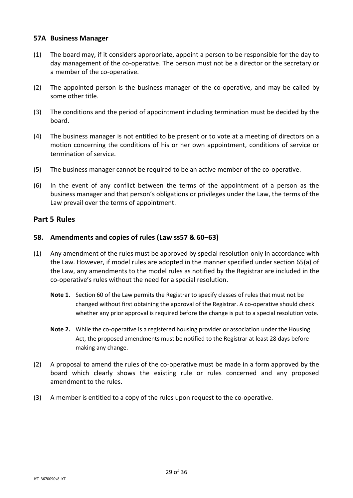## **57A Business Manager**

- (1) The board may, if it considers appropriate, appoint a person to be responsible for the day to day management of the co-operative. The person must not be a director or the secretary or a member of the co-operative.
- (2) The appointed person is the business manager of the co-operative, and may be called by some other title.
- (3) The conditions and the period of appointment including termination must be decided by the board.
- (4) The business manager is not entitled to be present or to vote at a meeting of directors on a motion concerning the conditions of his or her own appointment, conditions of service or termination of service.
- (5) The business manager cannot be required to be an active member of the co-operative.
- (6) In the event of any conflict between the terms of the appointment of a person as the business manager and that person's obligations or privileges under the Law, the terms of the Law prevail over the terms of appointment.

# **Part 5 Rules**

## **58. Amendments and copies of rules (Law ss57 & 60–63)**

- (1) Any amendment of the rules must be approved by special resolution only in accordance with the Law. However, if model rules are adopted in the manner specified under section 65(a) of the Law, any amendments to the model rules as notified by the Registrar are included in the co-operative's rules without the need for a special resolution.
	- **Note 1.** Section 60 of the Law permits the Registrar to specify classes of rules that must not be changed without first obtaining the approval of the Registrar. A co-operative should check whether any prior approval is required before the change is put to a special resolution vote.
	- **Note 2.** While the co-operative is a registered housing provider or association under the Housing Act, the proposed amendments must be notified to the Registrar at least 28 days before making any change.
- (2) A proposal to amend the rules of the co-operative must be made in a form approved by the board which clearly shows the existing rule or rules concerned and any proposed amendment to the rules.
- (3) A member is entitled to a copy of the rules upon request to the co-operative.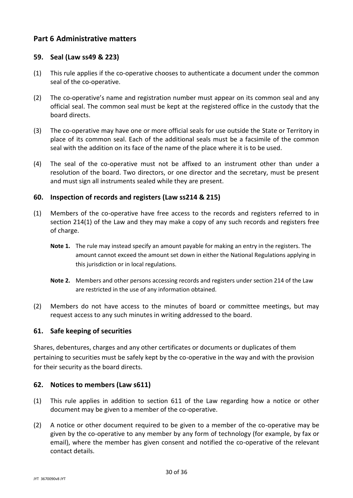# **Part 6 Administrative matters**

## **59. Seal (Law ss49 & 223)**

- (1) This rule applies if the co-operative chooses to authenticate a document under the common seal of the co-operative.
- (2) The co-operative's name and registration number must appear on its common seal and any official seal. The common seal must be kept at the registered office in the custody that the board directs.
- (3) The co-operative may have one or more official seals for use outside the State or Territory in place of its common seal. Each of the additional seals must be a facsimile of the common seal with the addition on its face of the name of the place where it is to be used.
- (4) The seal of the co-operative must not be affixed to an instrument other than under a resolution of the board. Two directors, or one director and the secretary, must be present and must sign all instruments sealed while they are present.

## **60. Inspection of records and registers (Law ss214 & 215)**

- (1) Members of the co-operative have free access to the records and registers referred to in section 214(1) of the Law and they may make a copy of any such records and registers free of charge.
	- **Note 1.** The rule may instead specify an amount payable for making an entry in the registers. The amount cannot exceed the amount set down in either the National Regulations applying in this jurisdiction or in local regulations.
	- **Note 2.** Members and other persons accessing records and registers under section 214 of the Law are restricted in the use of any information obtained.
- (2) Members do not have access to the minutes of board or committee meetings, but may request access to any such minutes in writing addressed to the board.

## **61. Safe keeping of securities**

Shares, debentures, charges and any other certificates or documents or duplicates of them pertaining to securities must be safely kept by the co-operative in the way and with the provision for their security as the board directs.

#### <span id="page-29-0"></span>**62. Notices to members (Law s611)**

- (1) This rule applies in addition to section 611 of the Law regarding how a notice or other document may be given to a member of the co-operative.
- (2) A notice or other document required to be given to a member of the co-operative may be given by the co-operative to any member by any form of technology (for example, by fax or email), where the member has given consent and notified the co-operative of the relevant contact details.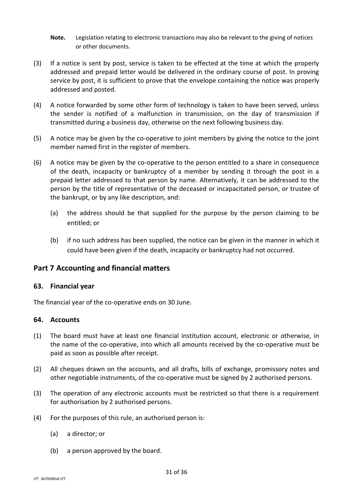- **Note.** Legislation relating to electronic transactions may also be relevant to the giving of notices or other documents.
- (3) If a notice is sent by post, service is taken to be effected at the time at which the properly addressed and prepaid letter would be delivered in the ordinary course of post. In proving service by post, it is sufficient to prove that the envelope containing the notice was properly addressed and posted.
- (4) A notice forwarded by some other form of technology is taken to have been served, unless the sender is notified of a malfunction in transmission, on the day of transmission if transmitted during a business day, otherwise on the next following business day.
- (5) A notice may be given by the co-operative to joint members by giving the notice to the joint member named first in the register of members.
- (6) A notice may be given by the co-operative to the person entitled to a share in consequence of the death, incapacity or bankruptcy of a member by sending it through the post in a prepaid letter addressed to that person by name. Alternatively, it can be addressed to the person by the title of representative of the deceased or incapacitated person, or trustee of the bankrupt, or by any like description, and:
	- (a) the address should be that supplied for the purpose by the person claiming to be entitled; or
	- (b) if no such address has been supplied, the notice can be given in the manner in which it could have been given if the death, incapacity or bankruptcy had not occurred.

# **Part 7 Accounting and financial matters**

#### **63. Financial year**

The financial year of the co-operative ends on 30 June.

## **64. Accounts**

- (1) The board must have at least one financial institution account, electronic or otherwise, in the name of the co-operative, into which all amounts received by the co-operative must be paid as soon as possible after receipt.
- (2) All cheques drawn on the accounts, and all drafts, bills of exchange, promissory notes and other negotiable instruments, of the co-operative must be signed by 2 authorised persons.
- (3) The operation of any electronic accounts must be restricted so that there is a requirement for authorisation by 2 authorised persons.
- (4) For the purposes of this rule, an authorised person is:
	- (a) a director; or
	- (b) a person approved by the board.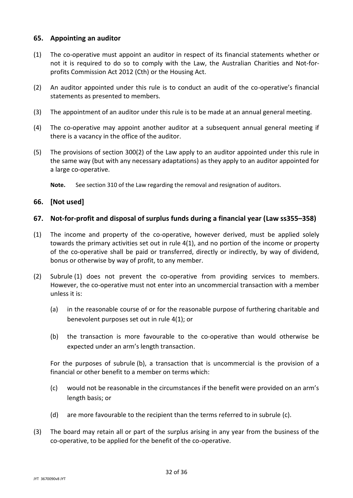#### **65. Appointing an auditor**

- (1) The co-operative must appoint an auditor in respect of its financial statements whether or not it is required to do so to comply with the Law, the Australian Charities and Not-forprofits Commission Act 2012 (Cth) or the Housing Act.
- (2) An auditor appointed under this rule is to conduct an audit of the co-operative's financial statements as presented to members.
- (3) The appointment of an auditor under this rule is to be made at an annual general meeting.
- (4) The co-operative may appoint another auditor at a subsequent annual general meeting if there is a vacancy in the office of the auditor.
- (5) The provisions of section 300(2) of the Law apply to an auditor appointed under this rule in the same way (but with any necessary adaptations) as they apply to an auditor appointed for a large co-operative.

**Note.** See section 310 of the Law regarding the removal and resignation of auditors.

## **66. [Not used]**

## **67. Not-for-profit and disposal of surplus funds during a financial year (Law ss355–358)**

- <span id="page-31-0"></span>(1) The income and property of the co-operative, however derived, must be applied solely towards the primary activities set out in rule [4\(1\),](#page-5-0) and no portion of the income or property of the co-operative shall be paid or transferred, directly or indirectly, by way of dividend, bonus or otherwise by way of profit, to any member.
- (2) Subrule [\(1\)](#page-31-0) does not prevent the co-operative from providing services to members. However, the co-operative must not enter into an uncommercial transaction with a member unless it is:
	- (a) in the reasonable course of or for the reasonable purpose of furthering charitable and benevolent purposes set out in rule [4\(1\);](#page-5-0) or
	- (b) the transaction is more favourable to the co-operative than would otherwise be expected under an arm's length transaction.

<span id="page-31-1"></span>For the purposes of subrule [\(b\),](#page-31-1) a transaction that is uncommercial is the provision of a financial or other benefit to a member on terms which:

- <span id="page-31-2"></span>(c) would not be reasonable in the circumstances if the benefit were provided on an arm's length basis; or
- (d) are more favourable to the recipient than the terms referred to in subrule [\(c\).](#page-31-2)
- (3) The board may retain all or part of the surplus arising in any year from the business of the co-operative, to be applied for the benefit of the co-operative.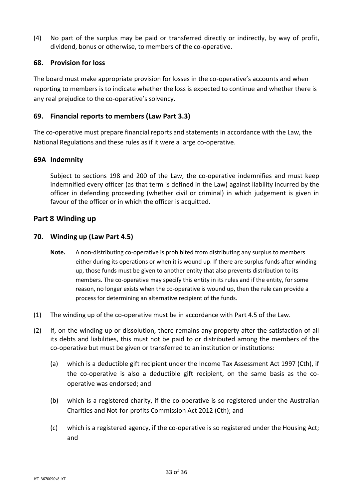(4) No part of the surplus may be paid or transferred directly or indirectly, by way of profit, dividend, bonus or otherwise, to members of the co-operative.

#### **68. Provision for loss**

The board must make appropriate provision for losses in the co-operative's accounts and when reporting to members is to indicate whether the loss is expected to continue and whether there is any real prejudice to the co-operative's solvency.

#### **69. Financial reports to members (Law Part 3.3)**

The co-operative must prepare financial reports and statements in accordance with the Law, the National Regulations and these rules as if it were a large co-operative.

#### **69A Indemnity**

Subject to sections 198 and 200 of the Law, the co-operative indemnifies and must keep indemnified every officer (as that term is defined in the Law) against liability incurred by the officer in defending proceeding (whether civil or criminal) in which judgement is given in favour of the officer or in which the officer is acquitted.

## **Part 8 Winding up**

#### **70. Winding up (Law Part 4.5)**

- Note. A non-distributing co-operative is prohibited from distributing any surplus to members either during its operations or when it is wound up. If there are surplus funds after winding up, those funds must be given to another entity that also prevents distribution to its members. The co-operative may specify this entity in its rules and if the entity, for some reason, no longer exists when the co-operative is wound up, then the rule can provide a process for determining an alternative recipient of the funds.
- (1) The winding up of the co-operative must be in accordance with Part 4.5 of the Law.
- <span id="page-32-0"></span>(2) If, on the winding up or dissolution, there remains any property after the satisfaction of all its debts and liabilities, this must not be paid to or distributed among the members of the co-operative but must be given or transferred to an institution or institutions:
	- (a) which is a deductible gift recipient under the Income Tax Assessment Act 1997 (Cth), if the co-operative is also a deductible gift recipient, on the same basis as the cooperative was endorsed; and
	- (b) which is a registered charity, if the co-operative is so registered under the Australian Charities and Not-for-profits Commission Act 2012 (Cth); and
	- (c) which is a registered agency, if the co-operative is so registered under the Housing Act; and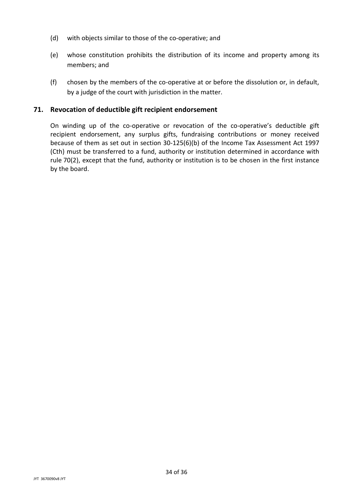- (d) with objects similar to those of the co-operative; and
- (e) whose constitution prohibits the distribution of its income and property among its members; and
- (f) chosen by the members of the co-operative at or before the dissolution or, in default, by a judge of the court with jurisdiction in the matter.

## **71. Revocation of deductible gift recipient endorsement**

On winding up of the co-operative or revocation of the co-operative's deductible gift recipient endorsement, any surplus gifts, fundraising contributions or money received because of them as set out in section 30-125(6)(b) of the Income Tax Assessment Act 1997 (Cth) must be transferred to a fund, authority or institution determined in accordance with rule [70\(2\),](#page-32-0) except that the fund, authority or institution is to be chosen in the first instance by the board.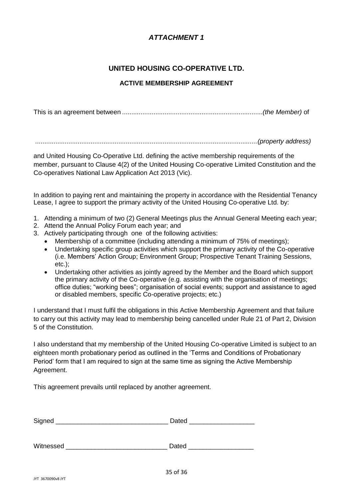# *ATTACHMENT 1*

# **UNITED HOUSING CO-OPERATIVE LTD.**

#### **ACTIVE MEMBERSHIP AGREEMENT**

This is an agreement between ............................................................................*(the Member)* of

........................................................................................................................*(property address)*

and United Housing Co-Operative Ltd. defining the active membership requirements of the member, pursuant to Clause 4(2) of the United Housing Co-operative Limited Constitution and the Co-operatives National Law Application Act 2013 (Vic).

In addition to paying rent and maintaining the property in accordance with the Residential Tenancy Lease, I agree to support the primary activity of the United Housing Co-operative Ltd. by:

- 1. Attending a minimum of two (2) General Meetings plus the Annual General Meeting each year;
- 2. Attend the Annual Policy Forum each year; and
- 3. Actively participating through one of the following activities:
	- Membership of a committee (including attending a minimum of 75% of meetings);
	- Undertaking specific group activities which support the primary activity of the Co-operative (i.e. Members' Action Group; Environment Group; Prospective Tenant Training Sessions, etc.);
	- Undertaking other activities as jointly agreed by the Member and the Board which support the primary activity of the Co-operative (e.g. assisting with the organisation of meetings; office duties; "working bees"; organisation of social events; support and assistance to aged or disabled members, specific Co-operative projects; etc.)

I understand that I must fulfil the obligations in this Active Membership Agreement and that failure to carry out this activity may lead to membership being cancelled under Rule 21 of Part 2, Division 5 of the Constitution.

I also understand that my membership of the United Housing Co-operative Limited is subject to an eighteen month probationary period as outlined in the 'Terms and Conditions of Probationary Period' form that I am required to sign at the same time as signing the Active Membership Agreement.

This agreement prevails until replaced by another agreement.

| Sinned<br>- |  |
|-------------|--|
|             |  |

Witnessed **Example 20 and Security Contract Contract Contract Contract Contract Contract Contract Contract Contract Contract Contract Contract Contract Contract Contract Contract Contract Contract Contract Contract Contrac**